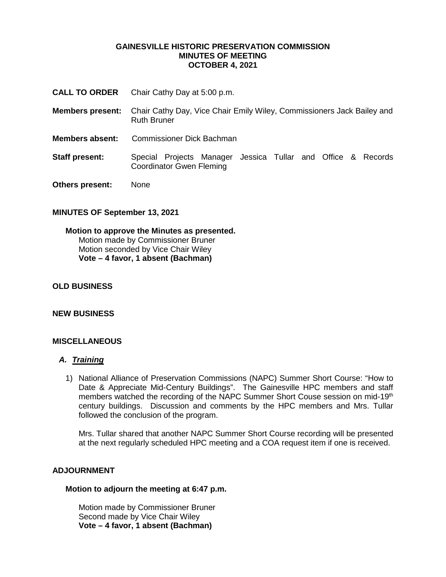## **GAINESVILLE HISTORIC PRESERVATION COMMISSION MINUTES OF MEETING OCTOBER 4, 2021**

- **CALL TO ORDER** Chair Cathy Day at 5:00 p.m.
- **Members present:** Chair Cathy Day, Vice Chair Emily Wiley, Commissioners Jack Bailey and Ruth Bruner
- **Members absent:** Commissioner Dick Bachman
- **Staff present:** Special Projects Manager Jessica Tullar and Office & Records Coordinator Gwen Fleming
- **Others present:** None

## **MINUTES OF September 13, 2021**

## **Motion to approve the Minutes as presented.** Motion made by Commissioner Bruner Motion seconded by Vice Chair Wiley **Vote – 4 favor, 1 absent (Bachman)**

## **OLD BUSINESS**

## **NEW BUSINESS**

# **MISCELLANEOUS**

## *A. Training*

1) National Alliance of Preservation Commissions (NAPC) Summer Short Course: "How to Date & Appreciate Mid-Century Buildings". The Gainesville HPC members and staff members watched the recording of the NAPC Summer Short Couse session on mid-19th century buildings. Discussion and comments by the HPC members and Mrs. Tullar followed the conclusion of the program.

Mrs. Tullar shared that another NAPC Summer Short Course recording will be presented at the next regularly scheduled HPC meeting and a COA request item if one is received.

## **ADJOURNMENT**

## **Motion to adjourn the meeting at 6:47 p.m.**

Motion made by Commissioner Bruner Second made by Vice Chair Wiley **Vote – 4 favor, 1 absent (Bachman)**